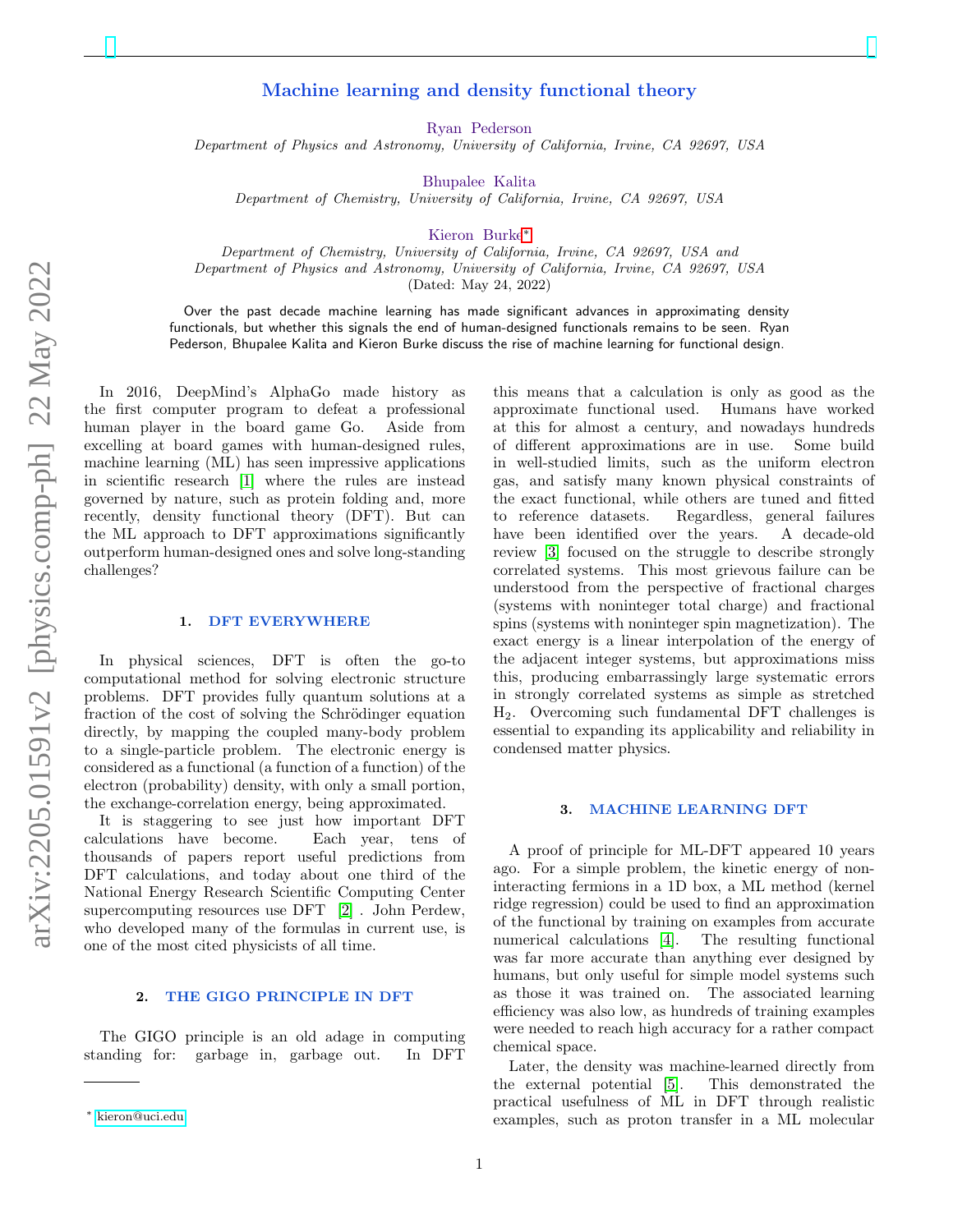# Machine learning and density functional theory

Ryan Pederson

Department of Physics and Astronomy, University of California, Irvine, CA 92697, USA

Bhupalee Kalita

Department of Chemistry, University of California, Irvine, CA 92697, USA

Kieron Burke[∗](#page-0-0)

Department of Chemistry, University of California, Irvine, CA 92697, USA and Department of Physics and Astronomy, University of California, Irvine, CA 92697, USA (Dated: May 24, 2022)

Over the past decade machine learning has made significant advances in approximating density functionals, but whether this signals the end of human-designed functionals remains to be seen. Ryan Pederson, Bhupalee Kalita and Kieron Burke discuss the rise of machine learning for functional design.

In 2016, DeepMind's AlphaGo made history as the first computer program to defeat a professional human player in the board game Go. Aside from excelling at board games with human-designed rules, machine learning (ML) has seen impressive applications in scientific research [\[1\]](#page-1-0) where the rules are instead governed by nature, such as protein folding and, more recently, density functional theory (DFT). But can the ML approach to DFT approximations significantly outperform human-designed ones and solve long-standing challenges?

#### 1. DFT EVERYWHERE

In physical sciences, DFT is often the go-to computational method for solving electronic structure problems. DFT provides fully quantum solutions at a fraction of the cost of solving the Schrödinger equation directly, by mapping the coupled many-body problem to a single-particle problem. The electronic energy is considered as a functional (a function of a function) of the electron (probability) density, with only a small portion, the exchange-correlation energy, being approximated.

It is staggering to see just how important DFT calculations have become. Each year, tens of thousands of papers report useful predictions from DFT calculations, and today about one third of the National Energy Research Scientific Computing Center supercomputing resources use DFT [\[2\]](#page-1-1) . John Perdew, who developed many of the formulas in current use, is one of the most cited physicists of all time.

#### 2. THE GIGO PRINCIPLE IN DFT

The GIGO principle is an old adage in computing standing for: garbage in, garbage out. In DFT

this means that a calculation is only as good as the approximate functional used. Humans have worked at this for almost a century, and nowadays hundreds of different approximations are in use. Some build in well-studied limits, such as the uniform electron gas, and satisfy many known physical constraints of the exact functional, while others are tuned and fitted to reference datasets. Regardless, general failures have been identified over the years. A decade-old review [\[3\]](#page-1-2) focused on the struggle to describe strongly correlated systems. This most grievous failure can be understood from the perspective of fractional charges (systems with noninteger total charge) and fractional spins (systems with noninteger spin magnetization). The exact energy is a linear interpolation of the energy of the adjacent integer systems, but approximations miss this, producing embarrassingly large systematic errors in strongly correlated systems as simple as stretched H2. Overcoming such fundamental DFT challenges is essential to expanding its applicability and reliability in condensed matter physics.

#### 3. MACHINE LEARNING DFT

A proof of principle for ML-DFT appeared 10 years ago. For a simple problem, the kinetic energy of noninteracting fermions in a 1D box, a ML method (kernel ridge regression) could be used to find an approximation of the functional by training on examples from accurate numerical calculations [\[4\]](#page-1-3). The resulting functional was far more accurate than anything ever designed by humans, but only useful for simple model systems such as those it was trained on. The associated learning efficiency was also low, as hundreds of training examples were needed to reach high accuracy for a rather compact chemical space.

Later, the density was machine-learned directly from the external potential [\[5\]](#page-1-4). This demonstrated the practical usefulness of ML in DFT through realistic examples, such as proton transfer in a ML molecular

<span id="page-0-0"></span><sup>∗</sup> [kieron@uci.edu](mailto:kieron@uci.edu)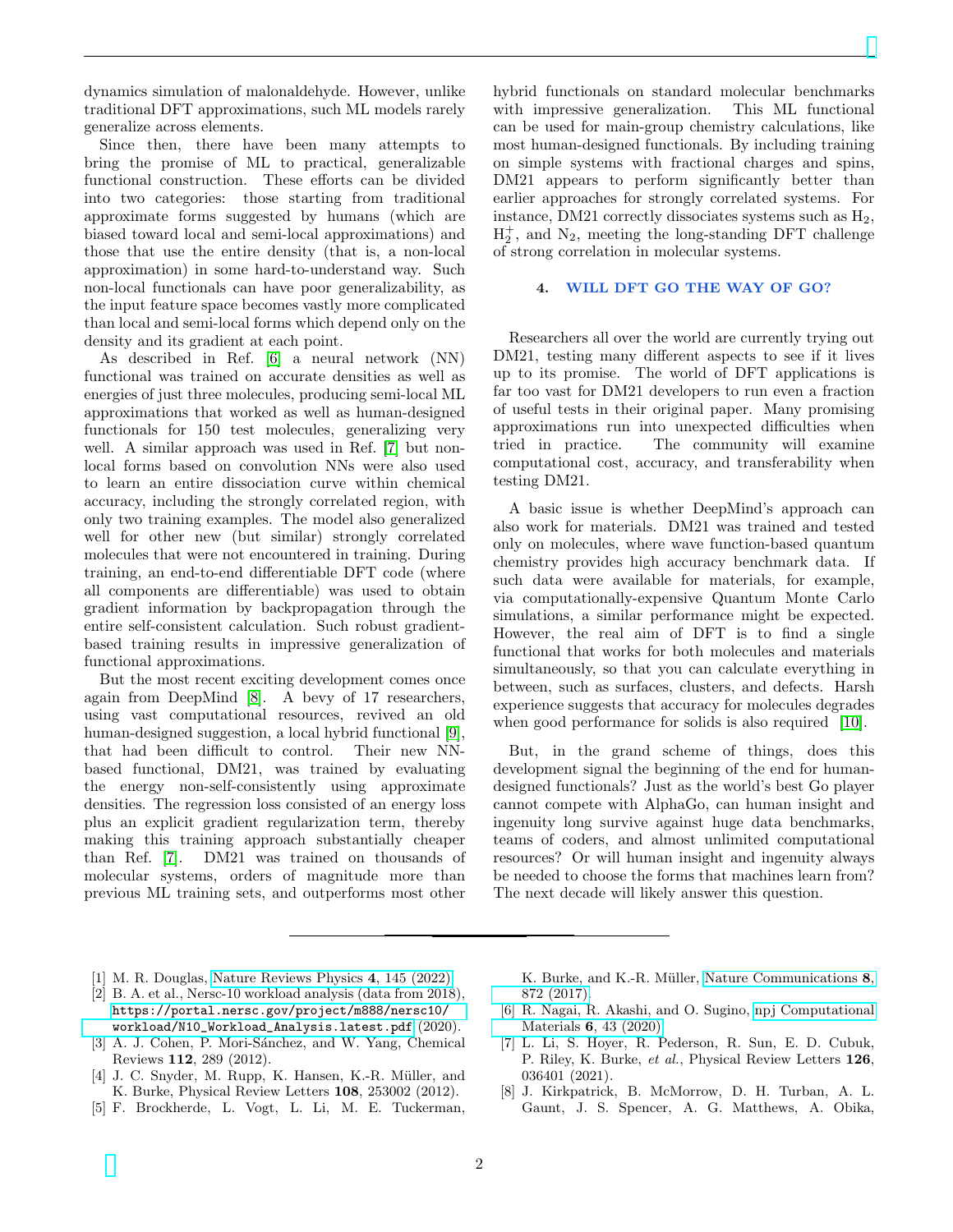dynamics simulation of malonaldehyde. However, unlike traditional DFT approximations, such ML models rarely generalize across elements.

Since then, there have been many attempts to bring the promise of ML to practical, generalizable functional construction. These efforts can be divided into two categories: those starting from traditional approximate forms suggested by humans (which are biased toward local and semi-local approximations) and those that use the entire density (that is, a non-local approximation) in some hard-to-understand way. Such non-local functionals can have poor generalizability, as the input feature space becomes vastly more complicated than local and semi-local forms which depend only on the density and its gradient at each point.

As described in Ref. [\[6\]](#page-1-5) a neural network (NN) functional was trained on accurate densities as well as energies of just three molecules, producing semi-local ML approximations that worked as well as human-designed functionals for 150 test molecules, generalizing very well. A similar approach was used in Ref. [\[7\]](#page-1-6) but nonlocal forms based on convolution NNs were also used to learn an entire dissociation curve within chemical accuracy, including the strongly correlated region, with only two training examples. The model also generalized well for other new (but similar) strongly correlated molecules that were not encountered in training. During training, an end-to-end differentiable DFT code (where all components are differentiable) was used to obtain gradient information by backpropagation through the entire self-consistent calculation. Such robust gradientbased training results in impressive generalization of functional approximations.

But the most recent exciting development comes once again from DeepMind [\[8\]](#page-1-7). A bevy of 17 researchers, using vast computational resources, revived an old human-designed suggestion, a local hybrid functional [\[9\]](#page-2-0), that had been difficult to control. Their new NNbased functional, DM21, was trained by evaluating the energy non-self-consistently using approximate densities. The regression loss consisted of an energy loss plus an explicit gradient regularization term, thereby making this training approach substantially cheaper than Ref. [\[7\]](#page-1-6). DM21 was trained on thousands of molecular systems, orders of magnitude more than previous ML training sets, and outperforms most other

hybrid functionals on standard molecular benchmarks with impressive generalization. This ML functional can be used for main-group chemistry calculations, like most human-designed functionals. By including training on simple systems with fractional charges and spins, DM21 appears to perform significantly better than earlier approaches for strongly correlated systems. For instance, DM21 correctly dissociates systems such as  $H_2$ ,  $H_2^+$ , and  $N_2$ , meeting the long-standing DFT challenge of strong correlation in molecular systems.

## 4. WILL DFT GO THE WAY OF GO?

Researchers all over the world are currently trying out DM21, testing many different aspects to see if it lives up to its promise. The world of DFT applications is far too vast for DM21 developers to run even a fraction of useful tests in their original paper. Many promising approximations run into unexpected difficulties when tried in practice. The community will examine computational cost, accuracy, and transferability when testing DM21.

A basic issue is whether DeepMind's approach can also work for materials. DM21 was trained and tested only on molecules, where wave function-based quantum chemistry provides high accuracy benchmark data. If such data were available for materials, for example, via computationally-expensive Quantum Monte Carlo simulations, a similar performance might be expected. However, the real aim of DFT is to find a single functional that works for both molecules and materials simultaneously, so that you can calculate everything in between, such as surfaces, clusters, and defects. Harsh experience suggests that accuracy for molecules degrades when good performance for solids is also required [\[10\]](#page-2-1).

But, in the grand scheme of things, does this development signal the beginning of the end for humandesigned functionals? Just as the world's best Go player cannot compete with AlphaGo, can human insight and ingenuity long survive against huge data benchmarks, teams of coders, and almost unlimited computational resources? Or will human insight and ingenuity always be needed to choose the forms that machines learn from? The next decade will likely answer this question.

- <span id="page-1-0"></span>[1] M. R. Douglas, [Nature Reviews Physics](https://doi.org/10.1038/s42254-022-00431-9) 4, 145 (2022).
- <span id="page-1-1"></span>[2] B. A. et al., Nersc-10 workload analysis (data from 2018), [https://portal.nersc.gov/project/m888/nersc10/](https://portal.nersc.gov/project/m888/nersc10/workload/N10_Workload_Analysis.latest.pdf) [workload/N10\\_Workload\\_Analysis.latest.pdf](https://portal.nersc.gov/project/m888/nersc10/workload/N10_Workload_Analysis.latest.pdf) (2020).
- <span id="page-1-2"></span>[3] A. J. Cohen, P. Mori-Sánchez, and W. Yang, Chemical Reviews 112, 289 (2012).
- <span id="page-1-3"></span>[4] J. C. Snyder, M. Rupp, K. Hansen, K.-R. Müller, and K. Burke, Physical Review Letters 108, 253002 (2012).
- <span id="page-1-4"></span>[5] F. Brockherde, L. Vogt, L. Li, M. E. Tuckerman,

K. Burke, and K.-R. Müller, [Nature Communications](https://doi.org/10.1038/s41467-017-00839-3) 8, [872 \(2017\).](https://doi.org/10.1038/s41467-017-00839-3)

- <span id="page-1-5"></span>[6] R. Nagai, R. Akashi, and O. Sugino, [npj Computational](https://doi.org/10.1038/s41524-020-0310-0) Materials 6[, 43 \(2020\).](https://doi.org/10.1038/s41524-020-0310-0)
- <span id="page-1-6"></span>[7] L. Li, S. Hoyer, R. Pederson, R. Sun, E. D. Cubuk, P. Riley, K. Burke, et al., Physical Review Letters 126, 036401 (2021).
- <span id="page-1-7"></span>[8] J. Kirkpatrick, B. McMorrow, D. H. Turban, A. L. Gaunt, J. S. Spencer, A. G. Matthews, A. Obika,